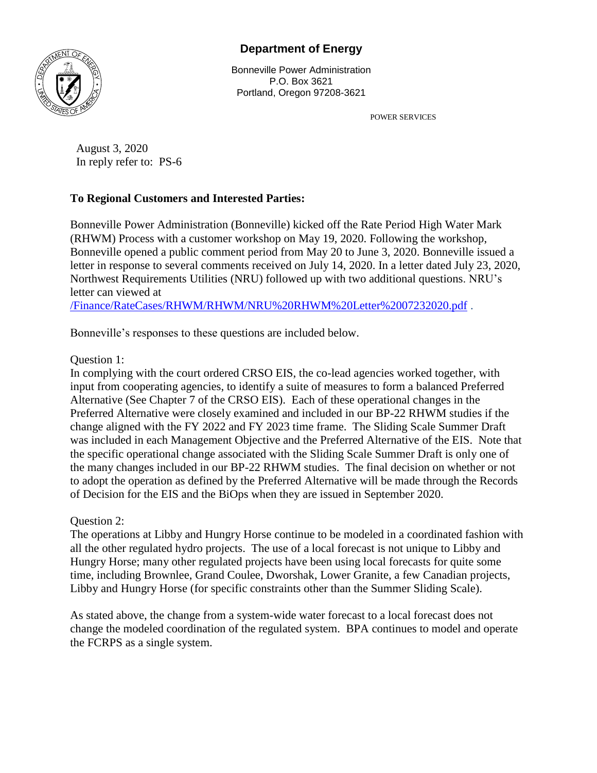## **Department of Energy**



Bonneville Power Administration P.O. Box 3621 Portland, Oregon 97208-3621

POWER SERVICES

August 3, 2020 In reply refer to: PS-6

## **To Regional Customers and Interested Parties:**

Bonneville Power Administration (Bonneville) kicked off the Rate Period High Water Mark (RHWM) Process with a customer workshop on May 19, 2020. Following the workshop, Bonneville opened a public comment period from May 20 to June 3, 2020. Bonneville issued a letter in response to several comments received on July 14, 2020. In a letter dated July 23, 2020, Northwest Requirements Utilities (NRU) followed up with two additional questions. NRU's letter can viewed at

[/Finance/RateCases/RHWM/RHWM/NRU%20RHWM%20Letter%2007232020.pdf](https://apdf.bud.bpa.gov/Finance/RateCases/RHWM/RHWM/NRU%20RHWM%20Letter%2007232020.pdf) .

Bonneville's responses to these questions are included below.

## Question 1:

In complying with the court ordered CRSO EIS, the co-lead agencies worked together, with input from cooperating agencies, to identify a suite of measures to form a balanced Preferred Alternative (See Chapter 7 of the CRSO EIS). Each of these operational changes in the Preferred Alternative were closely examined and included in our BP-22 RHWM studies if the change aligned with the FY 2022 and FY 2023 time frame. The Sliding Scale Summer Draft was included in each Management Objective and the Preferred Alternative of the EIS. Note that the specific operational change associated with the Sliding Scale Summer Draft is only one of the many changes included in our BP-22 RHWM studies. The final decision on whether or not to adopt the operation as defined by the Preferred Alternative will be made through the Records of Decision for the EIS and the BiOps when they are issued in September 2020.

## Question 2:

The operations at Libby and Hungry Horse continue to be modeled in a coordinated fashion with all the other regulated hydro projects. The use of a local forecast is not unique to Libby and Hungry Horse; many other regulated projects have been using local forecasts for quite some time, including Brownlee, Grand Coulee, Dworshak, Lower Granite, a few Canadian projects, Libby and Hungry Horse (for specific constraints other than the Summer Sliding Scale).

As stated above, the change from a system-wide water forecast to a local forecast does not change the modeled coordination of the regulated system. BPA continues to model and operate the FCRPS as a single system.